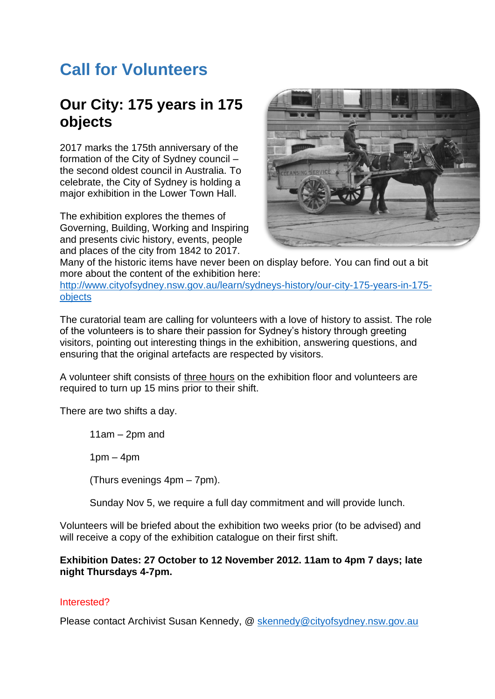## **Call for Volunteers**

## **Our City: 175 years in 175 objects**

2017 marks the 175th anniversary of the formation of the City of Sydney council – the second oldest council in Australia. To celebrate, the City of Sydney is holding a major exhibition in the Lower Town Hall.

The exhibition explores the themes of Governing, Building, Working and Inspiring and presents civic history, events, people and places of the city from 1842 to 2017.



Many of the historic items have never been on display before. You can find out a bit more about the content of the exhibition here:

[http://www.cityofsydney.nsw.gov.au/learn/sydneys-history/our-city-175-years-in-175](http://www.cityofsydney.nsw.gov.au/learn/sydneys-history/our-city-175-years-in-175-objects) [objects](http://www.cityofsydney.nsw.gov.au/learn/sydneys-history/our-city-175-years-in-175-objects)

The curatorial team are calling for volunteers with a love of history to assist. The role of the volunteers is to share their passion for Sydney's history through greeting visitors, pointing out interesting things in the exhibition, answering questions, and ensuring that the original artefacts are respected by visitors.

A volunteer shift consists of three hours on the exhibition floor and volunteers are required to turn up 15 mins prior to their shift.

There are two shifts a day.

11am – 2pm and

 $1pm - 4pm$ 

(Thurs evenings 4pm – 7pm).

Sunday Nov 5, we require a full day commitment and will provide lunch.

Volunteers will be briefed about the exhibition two weeks prior (to be advised) and will receive a copy of the exhibition catalogue on their first shift.

## **Exhibition Dates: 27 October to 12 November 2012. 11am to 4pm 7 days; late night Thursdays 4-7pm.**

## Interested?

Please contact Archivist Susan Kennedy, @ [skennedy@cityofsydney.nsw.gov.au](mailto:skennedy@cityofsydney.nsw.gov.au)